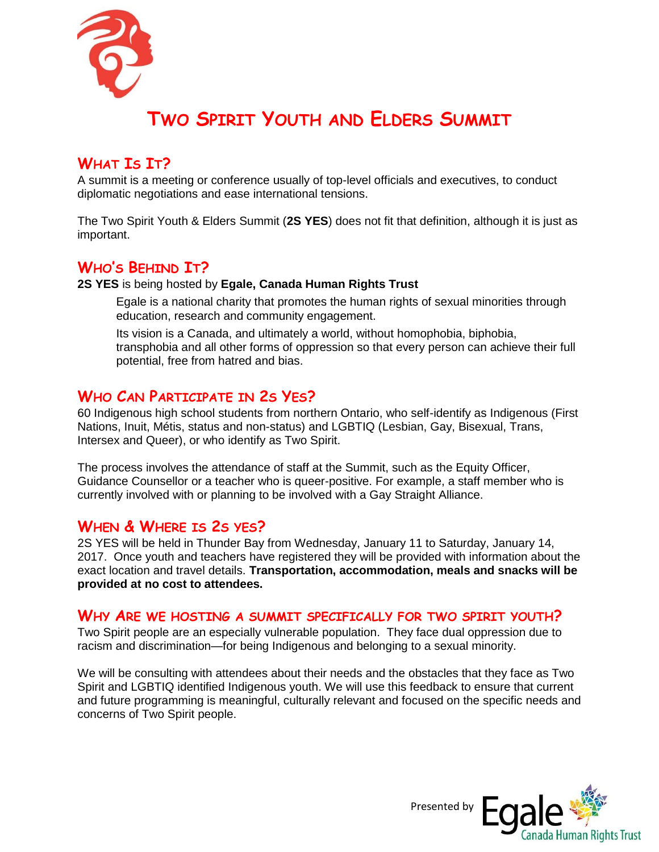

# **TWO SPIRIT YOUTH AND ELDERS SUMMIT**

# **WHAT IS IT?**

A summit is a meeting or conference usually of top-level officials and executives, to conduct diplomatic negotiations and ease international tensions.

The Two Spirit Youth & Elders Summit (**2S YES**) does not fit that definition, although it is just as important.

# **WHO'S BEHIND IT?**

**2S YES** is being hosted by **Egale, Canada Human Rights Trust** 

Egale is a national charity that promotes the human rights of sexual minorities through education, research and community engagement.

Its vision is a Canada, and ultimately a world, without homophobia, biphobia, transphobia and all other forms of oppression so that every person can achieve their full potential, free from hatred and bias.

### **WHO CAN PARTICIPATE IN 2S YES?**

60 Indigenous high school students from northern Ontario, who self-identify as Indigenous (First Nations, Inuit, Métis, status and non-status) and LGBTIQ (Lesbian, Gay, Bisexual, Trans, Intersex and Queer), or who identify as Two Spirit.

The process involves the attendance of staff at the Summit, such as the Equity Officer, Guidance Counsellor or a teacher who is queer-positive. For example, a staff member who is currently involved with or planning to be involved with a Gay Straight Alliance.

#### **WHEN & WHERE IS 2S YES?**

2S YES will be held in Thunder Bay from Wednesday, January 11 to Saturday, January 14, 2017. Once youth and teachers have registered they will be provided with information about the exact location and travel details. **Transportation, accommodation, meals and snacks will be provided at no cost to attendees.**

#### **WHY ARE WE HOSTING A SUMMIT SPECIFICALLY FOR TWO SPIRIT YOUTH?**

Two Spirit people are an especially vulnerable population. They face dual oppression due to racism and discrimination—for being Indigenous and belonging to a sexual minority.

We will be consulting with attendees about their needs and the obstacles that they face as Two Spirit and LGBTIQ identified Indigenous youth. We will use this feedback to ensure that current and future programming is meaningful, culturally relevant and focused on the specific needs and concerns of Two Spirit people.